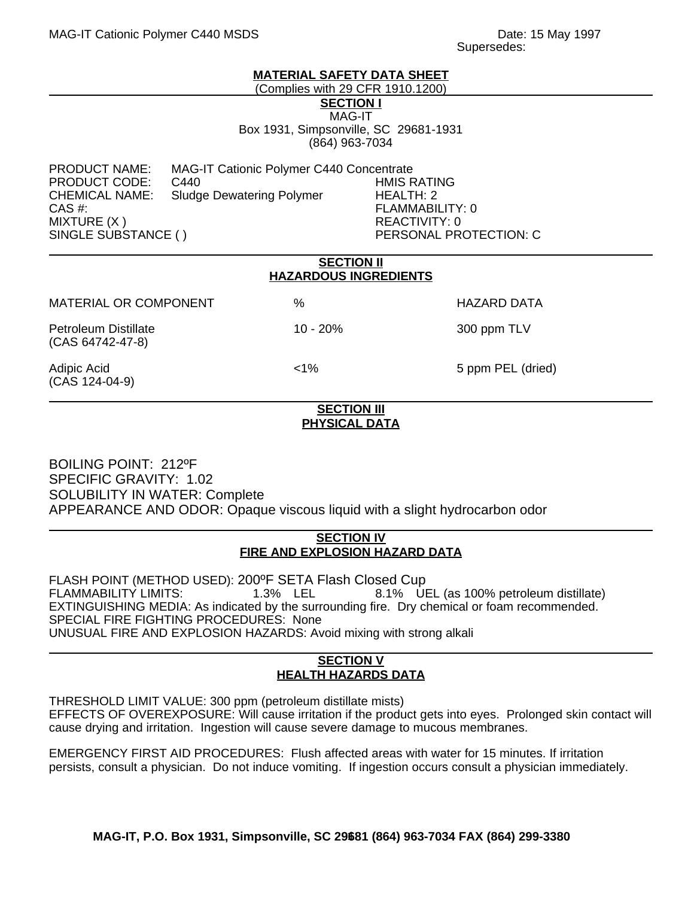#### **MATERIAL SAFETY DATA SHEET**

(Complies with 29 CFR 1910.1200)

**SECTION I** MAG-IT

Box 1931, Simpsonville, SC 29681-1931 (864) 963-7034

PRODUCT NAME: MAG-IT Cationic Polymer C440 Concentrate PRODUCT CODE: C440 HMIS RATING CHEMICAL NAME: Sludge Dewatering Polymer HEALTH: 2 CAS #: FLAMMABILITY: 0 MIXTURE (X ) REACTIVITY: 0

PERSONAL PROTECTION: C

| <b>SECTION II</b><br><b>HAZARDOUS INGREDIENTS</b> |            |                    |
|---------------------------------------------------|------------|--------------------|
| <b>MATERIAL OR COMPONENT</b>                      | $\%$       | <b>HAZARD DATA</b> |
| <b>Petroleum Distillate</b><br>(CAS 64742-47-8)   | $10 - 20%$ | 300 ppm TLV        |
| Adipic Acid<br>(CAS 124-04-9)                     | $< 1\%$    | 5 ppm PEL (dried)  |

## **SECTION III PHYSICAL DATA**

BOILING POINT: 212ºF SPECIFIC GRAVITY: 1.02 SOLUBILITY IN WATER: Complete APPEARANCE AND ODOR: Opaque viscous liquid with a slight hydrocarbon odor

#### **SECTION IV FIRE AND EXPLOSION HAZARD DATA**

FLASH POINT (METHOD USED): 200ºF SETA Flash Closed Cup FLAMMABILITY LIMITS: 1.3% LEL 8.1% UEL (as 100% petroleum distillate) EXTINGUISHING MEDIA: As indicated by the surrounding fire. Dry chemical or foam recommended. SPECIAL FIRE FIGHTING PROCEDURES: None UNUSUAL FIRE AND EXPLOSION HAZARDS: Avoid mixing with strong alkali

## **SECTION V HEALTH HAZARDS DATA**

THRESHOLD LIMIT VALUE: 300 ppm (petroleum distillate mists) EFFECTS OF OVEREXPOSURE: Will cause irritation if the product gets into eyes. Prolonged skin contact will cause drying and irritation. Ingestion will cause severe damage to mucous membranes.

EMERGENCY FIRST AID PROCEDURES: Flush affected areas with water for 15 minutes. If irritation persists, consult a physician. Do not induce vomiting. If ingestion occurs consult a physician immediately.